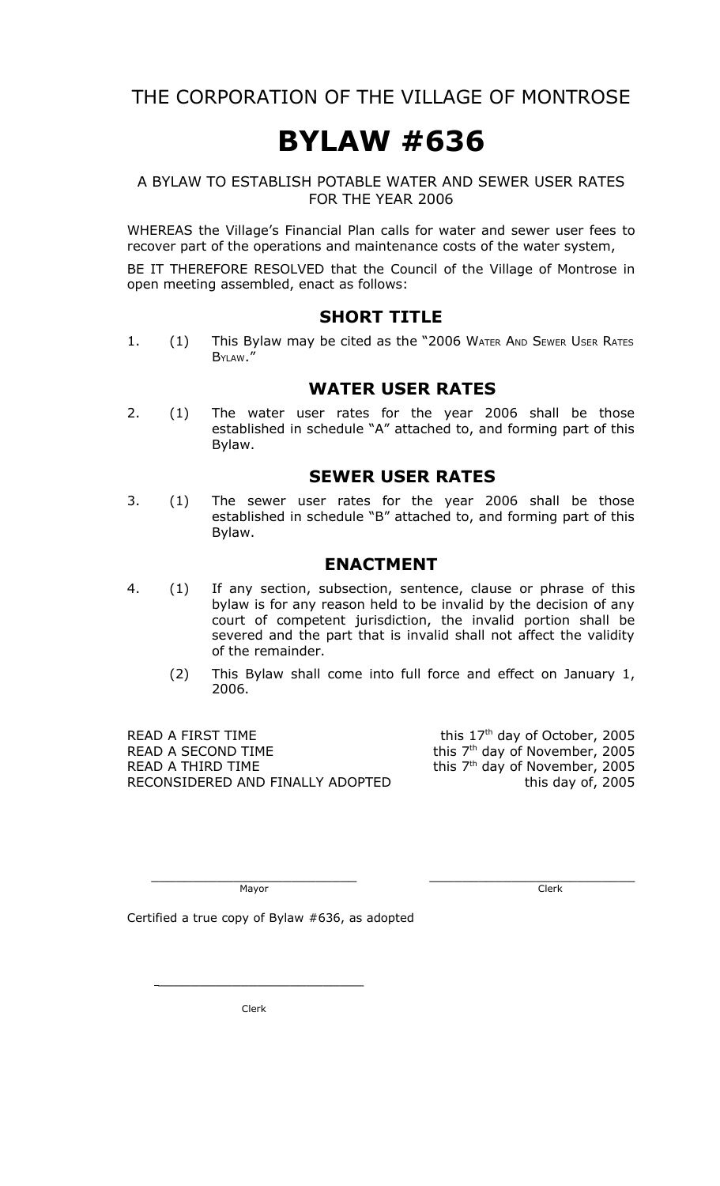THE CORPORATION OF THE VILLAGE OF MONTROSE

# **BYLAW #636**

#### A BYLAW TO ESTABLISH POTABLE WATER AND SEWER USER RATES FOR THE YEAR 2006

WHEREAS the Village's Financial Plan calls for water and sewer user fees to recover part of the operations and maintenance costs of the water system,

BE IT THEREFORE RESOLVED that the Council of the Village of Montrose in open meeting assembled, enact as follows:

#### **SHORT TITLE**

1. (1) This Bylaw may be cited as the "2006 WATER AND SEWER USER RATES BYLAW."

#### **WATER USER RATES**

2. (1) The water user rates for the year 2006 shall be those established in schedule "A" attached to, and forming part of this Bylaw.

#### **SEWER USER RATES**

3. (1) The sewer user rates for the year 2006 shall be those established in schedule "B" attached to, and forming part of this Bylaw.

#### **ENACTMENT**

- 4. (1) If any section, subsection, sentence, clause or phrase of this bylaw is for any reason held to be invalid by the decision of any court of competent jurisdiction, the invalid portion shall be severed and the part that is invalid shall not affect the validity of the remainder.
	- (2) This Bylaw shall come into full force and effect on January 1, 2006.

READ A FIRST TIME READ A SECOND TIME READ A THIRD TIME RECONSIDERED AND FINALLY ADOPTED this day of, 2005

this 17<sup>th</sup> day of October, 2005 <sup>th</sup> day of November, 2005 th day of November, 2005

Mayor Clerk

\_\_\_\_\_\_\_\_\_\_\_\_\_\_\_\_\_\_\_\_\_\_\_\_\_ \_\_\_\_\_\_\_\_\_\_\_\_\_\_\_\_\_\_\_\_\_\_\_\_\_

Certified a true copy of Bylaw #636, as adopted

Clerk

\_\_\_\_\_\_\_\_\_\_\_\_\_\_\_\_\_\_\_\_\_\_\_\_\_